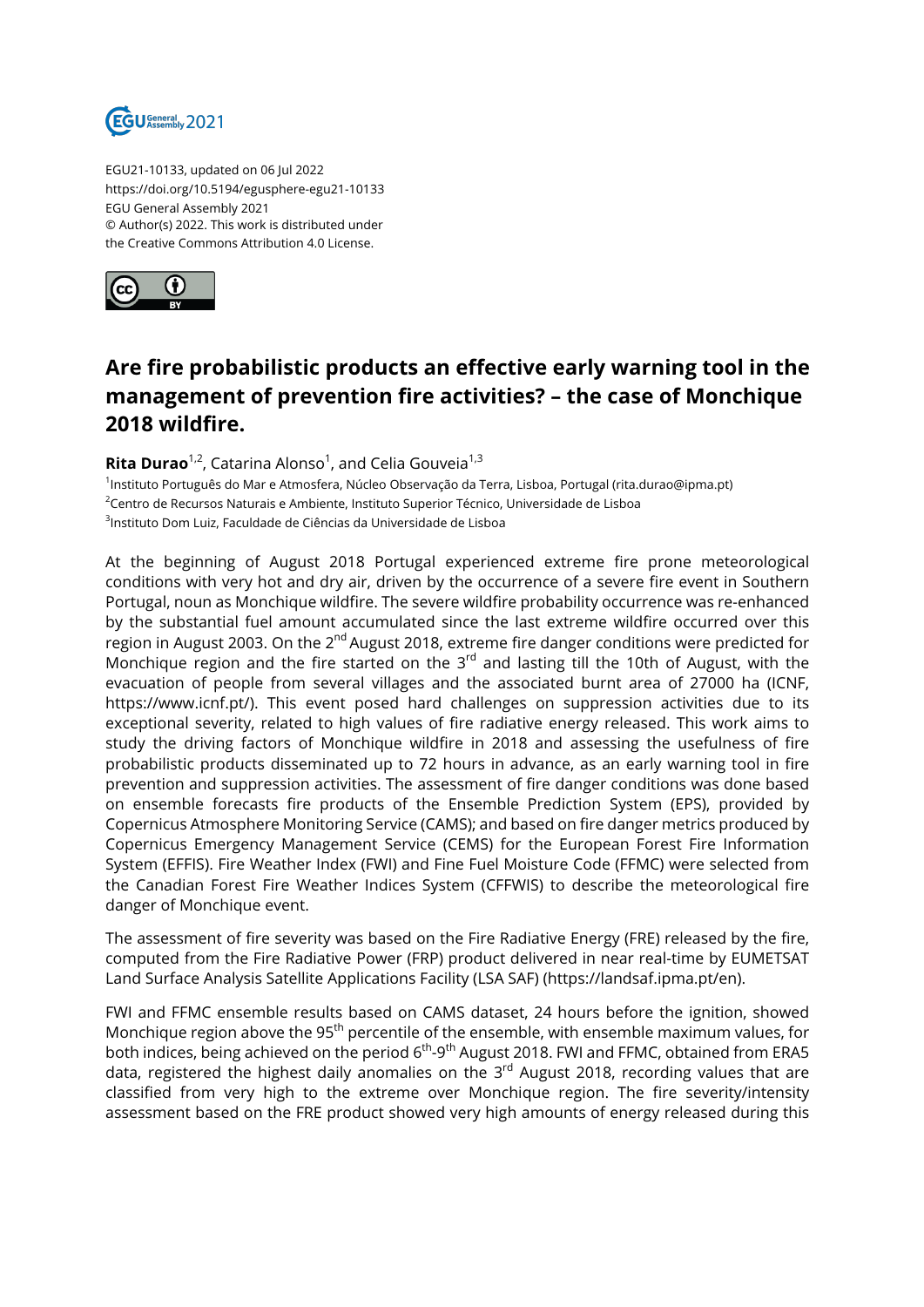

EGU21-10133, updated on 06 Jul 2022 https://doi.org/10.5194/egusphere-egu21-10133 EGU General Assembly 2021 © Author(s) 2022. This work is distributed under the Creative Commons Attribution 4.0 License.



## **Are fire probabilistic products an effective early warning tool in the management of prevention fire activities? – the case of Monchique 2018 wildfire.**

## **Rita Durao**<sup>1,2</sup>, Catarina Alonso<sup>1</sup>, and Celia Gouveia<sup>1,3</sup>

1 Instituto Português do Mar e Atmosfera, Núcleo Observação da Terra, Lisboa, Portugal (rita.durao@ipma.pt) <sup>2</sup>Centro de Recursos Naturais e Ambiente, Instituto Superior Técnico, Universidade de Lisboa  $^3$ Instituto Dom Luiz, Faculdade de Ciências da Universidade de Lisboa

At the beginning of August 2018 Portugal experienced extreme fire prone meteorological conditions with very hot and dry air, driven by the occurrence of a severe fire event in Southern Portugal, noun as Monchique wildfire. The severe wildfire probability occurrence was re-enhanced by the substantial fuel amount accumulated since the last extreme wildfire occurred over this region in August 2003. On the 2<sup>nd</sup> August 2018, extreme fire danger conditions were predicted for Monchique region and the fire started on the  $3^{rd}$  and lasting till the 10th of August, with the evacuation of people from several villages and the associated burnt area of 27000 ha (ICNF, https://www.icnf.pt/). This event posed hard challenges on suppression activities due to its exceptional severity, related to high values of fire radiative energy released. This work aims to study the driving factors of Monchique wildfire in 2018 and assessing the usefulness of fire probabilistic products disseminated up to 72 hours in advance, as an early warning tool in fire prevention and suppression activities. The assessment of fire danger conditions was done based on ensemble forecasts fire products of the Ensemble Prediction System (EPS), provided by Copernicus Atmosphere Monitoring Service (CAMS); and based on fire danger metrics produced by Copernicus Emergency Management Service (CEMS) for the European Forest Fire Information System (EFFIS). Fire Weather Index (FWI) and Fine Fuel Moisture Code (FFMC) were selected from the Canadian Forest Fire Weather Indices System (CFFWIS) to describe the meteorological fire danger of Monchique event.

The assessment of fire severity was based on the Fire Radiative Energy (FRE) released by the fire, computed from the Fire Radiative Power (FRP) product delivered in near real-time by EUMETSAT Land Surface Analysis Satellite Applications Facility (LSA SAF) (https://landsaf.ipma.pt/en).

FWI and FFMC ensemble results based on CAMS dataset, 24 hours before the ignition, showed Monchique region above the 95<sup>th</sup> percentile of the ensemble, with ensemble maximum values, for both indices, being achieved on the period  $6<sup>th</sup>-9<sup>th</sup>$  August 2018. FWI and FFMC, obtained from ERA5 data, registered the highest daily anomalies on the  $3<sup>rd</sup>$  August 2018, recording values that are classified from very high to the extreme over Monchique region. The fire severity/intensity assessment based on the FRE product showed very high amounts of energy released during this